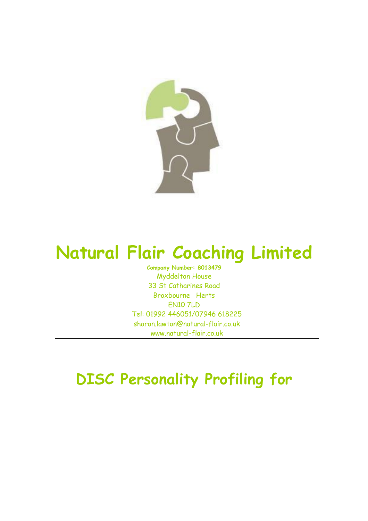

# Natural Flair Coaching Limited

Company Number: 8013479 Myddelton House 33 St Catharines Road Broxbourne Herts EN10 7LD Tel: 01992 446051/07946 618225 sharon.lawton@natural-flair.co.uk www.natural-flair.co.uk

## DISC Personality Profiling for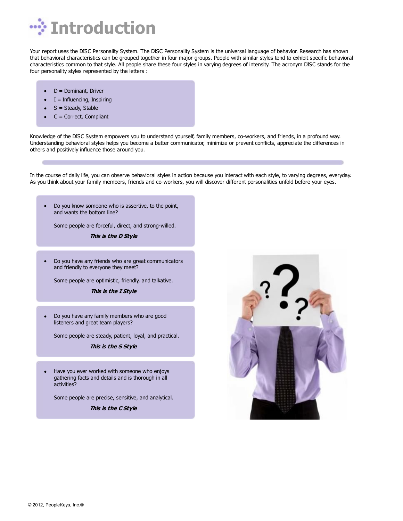

Your report uses the DISC Personality System. The DISC Personality System is the universal language of behavior. Research has shown that behavioral characteristics can be grouped together in four major groups. People with similar styles tend to exhibit specific behavioral characteristics common to that style. All people share these four styles in varying degrees of intensity. The acronym DISC stands for the four personality styles represented by the letters :

- D = Dominant, Driver
- $I = Influencing, Inspiring$
- S = Steady, Stable
- C = Correct, Compliant

Knowledge of the DISC System empowers you to understand yourself, family members, co-workers, and friends, in a profound way. Understanding behavioral styles helps you become a better communicator, minimize or prevent conflicts, appreciate the differences in others and positively influence those around you.

In the course of daily life, you can observe behavioral styles in action because you interact with each style, to varying degrees, everyday. As you think about your family members, friends and co-workers, you will discover different personalities unfold before your eyes.

Do you know someone who is assertive, to the point,  $\bullet$ and wants the bottom line?

Some people are forceful, direct, and strong-willed.

**This is the D Style**

Do you have any friends who are great communicators  $\bullet$ and friendly to everyone they meet?

Some people are optimistic, friendly, and talkative.

**This is the I Style**

Do you have any family members who are good  $\bullet$ listeners and great team players?

Some people are steady, patient, loyal, and practical.

**This is the S Style**

 $\bullet$ Have you ever worked with someone who enjoys gathering facts and details and is thorough in all activities?

Some people are precise, sensitive, and analytical.

**This is the C Style**

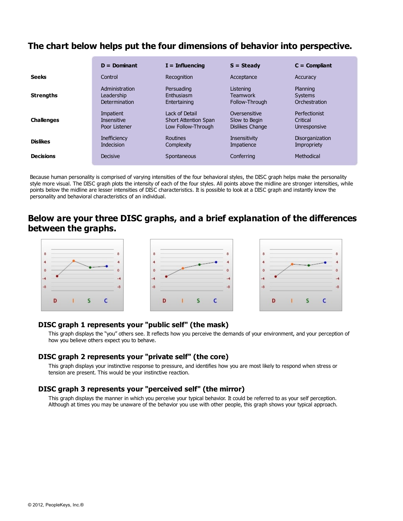## **The chart below helps put the four dimensions of behavior into perspective.**

|                   | $D =$ Dominant      | $I = Influencina$           | $S = Steadv$           | $C =$ Compliant |
|-------------------|---------------------|-----------------------------|------------------------|-----------------|
| <b>Seeks</b>      | Control             | Recognition                 | Acceptance             | Accuracy        |
| <b>Strengths</b>  | Administration      | Persuading                  | Listening              | Planning        |
|                   | Leadership          | Enthusiasm                  | <b>Teamwork</b>        | <b>Systems</b>  |
|                   | Determination       | Entertaining                | Follow-Through         | Orchestration   |
| <b>Challenges</b> | Impatient           | Lack of Detail              | Oversensitive          | Perfectionist   |
|                   | <b>Insensitive</b>  | <b>Short Attention Span</b> | Slow to Begin          | Critical        |
|                   | Poor Listener       | Low Follow-Through          | <b>Dislikes Change</b> | Unresponsive    |
| <b>Dislikes</b>   | <b>Inefficiency</b> | Routines                    | <b>Insensitivity</b>   | Disorganization |
|                   | <b>Indecision</b>   | Complexity                  | Impatience             | Impropriety     |
| <b>Decisions</b>  | <b>Decisive</b>     | Spontaneous                 | Conferring             | Methodical      |

Because human personality is comprised of varying intensities of the four behavioral styles, the DISC graph helps make the personality style more visual. The DISC graph plots the intensity of each of the four styles. All points above the midline are stronger intensities, while points below the midline are lesser intensities of DISC characteristics. It is possible to look at a DISC graph and instantly know the personality and behavioral characteristics of an individual.

## **Below are your three DISC graphs, and a brief explanation of the differences between the graphs.**



#### **DISC graph 1 represents your "public self" (the mask)**

This graph displays the "you" others see. It reflects how you perceive the demands of your environment, and your perception of how you believe others expect you to behave.

## **DISC graph 2 represents your "private self" (the core)**

This graph displays your instinctive response to pressure, and identifies how you are most likely to respond when stress or tension are present. This would be your instinctive reaction.

#### **DISC graph 3 represents your "perceived self" (the mirror)**

This graph displays the manner in which you perceive your typical behavior. It could be referred to as your self perception. Although at times you may be unaware of the behavior you use with other people, this graph shows your typical approach.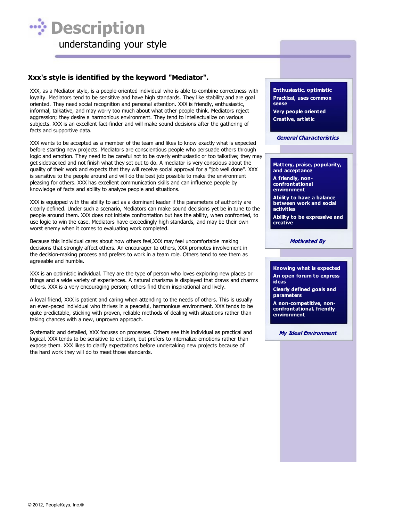

## **Xxx's style is identified by the keyword "Mediator".**

XXX, as a Mediator style, is a people-oriented individual who is able to combine correctness with loyalty. Mediators tend to be sensitive and have high standards. They like stability and are goal oriented. They need social recognition and personal attention. XXX is friendly, enthusiastic, informal, talkative, and may worry too much about what other people think. Mediators reject aggression; they desire a harmonious environment. They tend to intellectualize on various subjects. XXX is an excellent fact-finder and will make sound decisions after the gathering of facts and supportive data.

XXX wants to be accepted as a member of the team and likes to know exactly what is expected before starting new projects. Mediators are conscientious people who persuade others through logic and emotion. They need to be careful not to be overly enthusiastic or too talkative; they may get sidetracked and not finish what they set out to do. A mediator is very conscious about the quality of their work and expects that they will receive social approval for a "job well done". XXX is sensitive to the people around and will do the best job possible to make the environment pleasing for others. XXX has excellent communication skills and can influence people by knowledge of facts and ability to analyze people and situations.

XXX is equipped with the ability to act as a dominant leader if the parameters of authority are clearly defined. Under such a scenario, Mediators can make sound decisions yet be in tune to the people around them. XXX does not initiate confrontation but has the ability, when confronted, to use logic to win the case. Mediators have exceedingly high standards, and may be their own worst enemy when it comes to evaluating work completed.

Because this individual cares about how others feel,XXX may feel uncomfortable making decisions that strongly affect others. An encourager to others, XXX promotes involvement in the decision-making process and prefers to work in a team role. Others tend to see them as agreeable and humble.

XXX is an optimistic individual. They are the type of person who loves exploring new places or things and a wide variety of experiences. A natural charisma is displayed that draws and charms others. XXX is a very encouraging person; others find them inspirational and lively.

A loyal friend, XXX is patient and caring when attending to the needs of others. This is usually an even-paced individual who thrives in a peaceful, harmonious environment. XXX tends to be quite predictable, sticking with proven, reliable methods of dealing with situations rather than taking chances with a new, unproven approach.

Systematic and detailed, XXX focuses on processes. Others see this individual as practical and logical. XXX tends to be sensitive to criticism, but prefers to internalize emotions rather than expose them. XXX likes to clarify expectations before undertaking new projects because of the hard work they will do to meet those standards.

**Enthusiastic, optimistic Practical, uses common sense Very people oriented Creative, artistic**

**General Characteristics**

**Flattery, praise, popularity, and acceptance A friendly, non-**

**confrontational environment**

**Ability to have a balance between work and social activities**

**Ability to be expressive and creative**

**Motivated By**

**Knowing what is expected An open forum to express ideas**

**Clearly defined goals and parameters**

**A non-competitive, nonconfrontational, friendly environment**

**My Ideal Environment**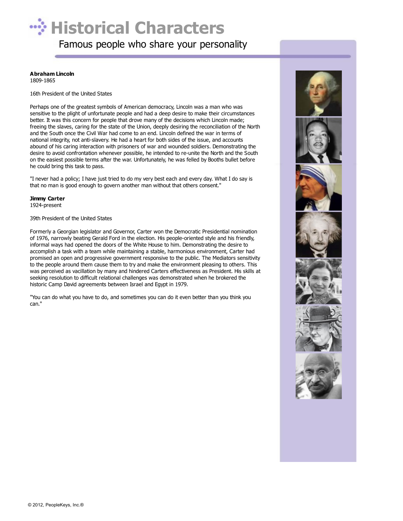# $\therefore$  **Historical Characters**

Famous people who share your personality

#### **Abraham Lincoln**

1809-1865

16th President of the United States

Perhaps one of the greatest symbols of American democracy, Lincoln was a man who was sensitive to the plight of unfortunate people and had a deep desire to make their circumstances better. It was this concern for people that drove many of the decisions which Lincoln made; freeing the slaves, caring for the state of the Union, deeply desiring the reconciliation of the North and the South once the Civil War had come to an end. Lincoln defined the war in terms of national integrity, not anti-slavery. He had a heart for both sides of the issue, and accounts abound of his caring interaction with prisoners of war and wounded soldiers. Demonstrating the desire to avoid confrontation whenever possible, he intended to re-unite the North and the South on the easiest possible terms after the war. Unfortunately, he was felled by Booths bullet before he could bring this task to pass.

"I never had a policy; I have just tried to do my very best each and every day. What I do say is that no man is good enough to govern another man without that others consent."

#### **Jimmy Carter**

1924-present

#### 39th President of the United States

Formerly a Georgian legislator and Governor, Carter won the Democratic Presidential nomination of 1976, narrowly beating Gerald Ford in the election. His people-oriented style and his friendly, informal ways had opened the doors of the White House to him. Demonstrating the desire to accomplish a task with a team while maintaining a stable, harmonious environment, Carter had promised an open and progressive government responsive to the public. The Mediators sensitivity to the people around them cause them to try and make the environment pleasing to others. This was perceived as vacillation by many and hindered Carters effectiveness as President. His skills at seeking resolution to difficult relational challenges was demonstrated when he brokered the historic Camp David agreements between Israel and Egypt in 1979.

"You can do what you have to do, and sometimes you can do it even better than you think you can."

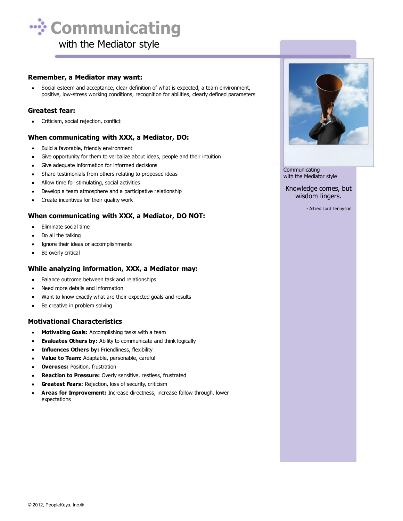

#### **Remember, a Mediator may want:**

Social esteem and acceptance, clear definition of what is expected, a team environment,  $\bullet$ positive, low-stress working conditions, recognition for abilities, clearly defined parameters

#### **Greatest fear:**

• Criticism, social rejection, conflict

#### **When communicating with XXX, a Mediator, DO:**

- Build a favorable, friendly environment  $\bullet$
- Give opportunity for them to verbalize about ideas, people and their intuition  $\bullet$
- Give adequate information for informed decisions  $\bullet$
- Share testimonials from others relating to proposed ideas  $\bullet$
- Allow time for stimulating, social activities  $\bullet$
- Develop a team atmosphere and a participative relationship  $\bullet$
- Create incentives for their quality work  $\bullet$

#### **When communicating with XXX, a Mediator, DO NOT:**

- $\bullet$ Eliminate social time
- Do all the talking
- Ignore their ideas or accomplishments  $\bullet$
- Be overly critical  $\bullet$

#### **While analyzing information, XXX, a Mediator may:**

- Balance outcome between task and relationships
- Need more details and information
- Want to know exactly what are their expected goals and results
- Be creative in problem solving

#### **Motivational Characteristics**

- **Motivating Goals:** Accomplishing tasks with a team  $\bullet$
- **Evaluates Others by:** Ability to communicate and think logically
- **Influences Others by: Friendliness, flexibility**  $\bullet$
- **Value to Team:** Adaptable, personable, careful  $\bullet$
- **Overuses:** Position, frustration  $\bullet$
- **Reaction to Pressure:** Overly sensitive, restless, frustrated
- **Greatest Fears:** Rejection, loss of security, criticism
- **Areas for Improvement:** Increase directness, increase follow through, lower expectations



**Communicating** with the Mediator style

Knowledge comes, but wisdom lingers.

- Alfred Lord Tennyson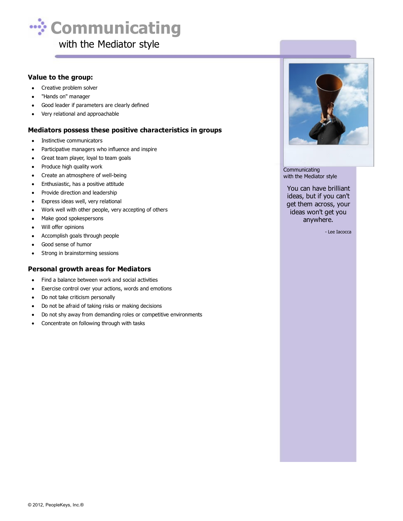

#### **Value to the group:**

- Creative problem solver  $\bullet$
- "Hands on" manager
- Good leader if parameters are clearly defined
- Very relational and approachable  $\bullet$

#### **Mediators possess these positive characteristics in groups**

- Instinctive communicators
- Participative managers who influence and inspire  $\bullet$
- Great team player, loyal to team goals
- $\bullet$ Produce high quality work
- Create an atmosphere of well-being  $\bullet$
- $\bullet$ Enthusiastic, has a positive attitude
- Provide direction and leadership  $\bullet$
- $\bullet$ Express ideas well, very relational
- Work well with other people, very accepting of others  $\bullet$
- Make good spokespersons  $\bullet$
- $\bullet$ Will offer opinions
- Accomplish goals through people  $\bullet$
- Good sense of humor  $\bullet$
- $\bullet$ Strong in brainstorming sessions

#### **Personal growth areas for Mediators**

- Find a balance between work and social activities  $\bullet$
- $\bullet$ Exercise control over your actions, words and emotions
- Do not take criticism personally  $\bullet$
- Do not be afraid of taking risks or making decisions  $\bullet$
- Do not shy away from demanding roles or competitive environments  $\bullet$
- Concentrate on following through with tasks  $\bullet$



**Communicating** with the Mediator style

You can have brilliant ideas, but if you can't get them across, your ideas won't get you anywhere.

- Lee Iacocca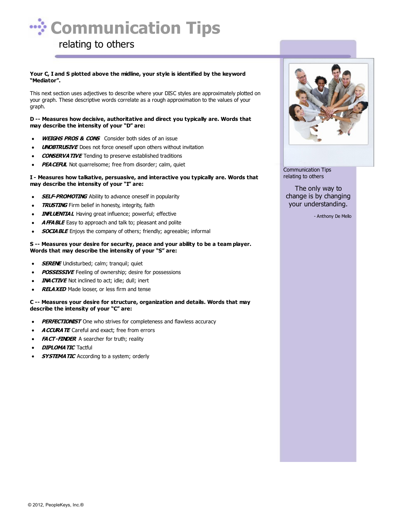

#### **Your C, I and S plotted above the midline, your style is identified by the keyword "Mediator".**

This next section uses adjectives to describe where your DISC styles are approximately plotted on your graph. These descriptive words correlate as a rough approximation to the values of your graph.

**D -- Measures how decisive, authoritative and direct you typically are. Words that may describe the intensity of your "D" are:**

- **WEIGHS PROS & CONS** Consider both sides of an issue
- **UNOBTRUSIVE** Does not force oneself upon others without invitation
- **CONSERVATIVE** Tending to preserve established traditions
- **PEA CEFUL** Not quarrelsome; free from disorder; calm, quiet

#### **I - Measures how talkative, persuasive, and interactive you typically are. Words that may describe the intensity of your "I" are:**

- **SELF-PROMOTING** Ability to advance oneself in popularity
- **TRUSTING** Firm belief in honesty, integrity, faith
- **INFLUENTIAL** Having great influence; powerful; effective
- **AFFABLE** Easy to approach and talk to; pleasant and polite
- **SOCIABLE** Enjoys the company of others; friendly; agreeable; informal

#### **S -- Measures your desire for security, peace and your ability to be a team player. Words that may describe the intensity of your "S" are:**

- **SERENE** Undisturbed; calm; tranquil; quiet
- **POSSESSIVE** Feeling of ownership; desire for possessions
- **INACTIVE** Not inclined to act; idle; dull; inert
- **RELAXED** Made looser, or less firm and tense

#### **C -- Measures your desire for structure, organization and details. Words that may describe the intensity of your "C" are:**

- **PERFECTIONIST** One who strives for completeness and flawless accuracy
- **ACCURATE** Careful and exact; free from errors
- **FACT-FINDER** A searcher for truth; reality
- **DIPLOMATIC** Tactful
- **SYSTEMATIC** According to a system; orderly



Communication Tips relating to others

The only way to change is by changing your understanding.

- Anthony De Mello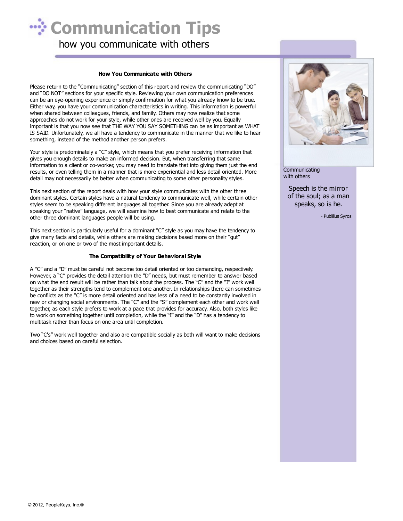

## how you communicate with others

#### **How You Communicate with Others**

Please return to the "Communicating" section of this report and review the communicating "DO" and "DO NOT" sections for your specific style. Reviewing your own communication preferences can be an eye-opening experience or simply confirmation for what you already know to be true. Either way, you have your communication characteristics in writing. This information is powerful when shared between colleagues, friends, and family. Others may now realize that some approaches do not work for your style, while other ones are received well by you. Equally important is that you now see that THE WAY YOU SAY SOMETHING can be as important as WHAT IS SAID. Unfortunately, we all have a tendency to communicate in the manner that we like to hear something, instead of the method another person prefers.

Your style is predominately a "C" style, which means that you prefer receiving information that gives you enough details to make an informed decision. But, when transferring that same information to a client or co-worker, you may need to translate that into giving them just the end results, or even telling them in a manner that is more experiential and less detail oriented. More detail may not necessarily be better when communicating to some other personality styles.

This next section of the report deals with how your style communicates with the other three dominant styles. Certain styles have a natural tendency to communicate well, while certain other styles seem to be speaking different languages all together. Since you are already adept at speaking your "native" language, we will examine how to best communicate and relate to the other three dominant languages people will be using.

This next section is particularly useful for a dominant "C" style as you may have the tendency to give many facts and details, while others are making decisions based more on their "gut" reaction, or on one or two of the most important details.

#### **The Compatibility of Your Behavioral Style**

A "C" and a "D" must be careful not become too detail oriented or too demanding, respectively. However, a "C" provides the detail attention the "D" needs, but must remember to answer based on what the end result will be rather than talk about the process. The "C" and the "I" work well together as their strengths tend to complement one another. In relationships there can sometimes be conflicts as the "C" is more detail oriented and has less of a need to be constantly involved in new or changing social environments. The "C" and the "S" complement each other and work well together, as each style prefers to work at a pace that provides for accuracy. Also, both styles like to work on something together until completion, while the "I" and the "D" has a tendency to multitask rather than focus on one area until completion.

Two "C's" work well together and also are compatible socially as both will want to make decisions and choices based on careful selection.



**Communicating** with others

> Speech is the mirror of the soul; as a man speaks, so is he.

> > - Publilius Syros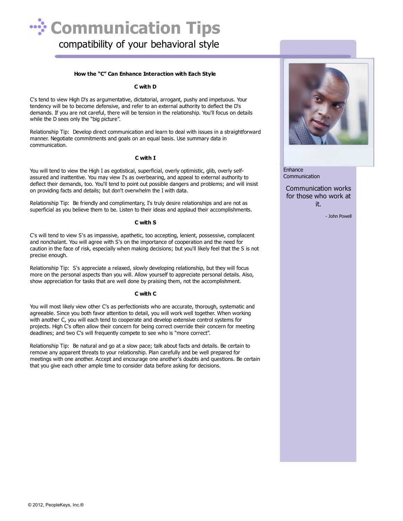

#### **How the "C" Can Enhance Interaction with Each Style**

#### **C with D**

C's tend to view High D's as argumentative, dictatorial, arrogant, pushy and impetuous. Your tendency will be to become defensive, and refer to an external authority to deflect the D's demands. If you are not careful, there will be tension in the relationship. You'll focus on details while the D sees only the "big picture".

Relationship Tip: Develop direct communication and learn to deal with issues in a straightforward manner. Negotiate commitments and goals on an equal basis. Use summary data in communication.

#### **C with I**

You will tend to view the High I as egotistical, superficial, overly optimistic, glib, overly selfassured and inattentive. You may view I's as overbearing, and appeal to external authority to deflect their demands, too. You'll tend to point out possible dangers and problems; and will insist on providing facts and details; but don't overwhelm the I with data.

Relationship Tip: Be friendly and complimentary, I's truly desire relationships and are not as superficial as you believe them to be. Listen to their ideas and applaud their accomplishments.

#### **C with S**

C's will tend to view S's as impassive, apathetic, too accepting, lenient, possessive, complacent and nonchalant. You will agree with S's on the importance of cooperation and the need for caution in the face of risk, especially when making decisions; but you'll likely feel that the S is not precise enough.

Relationship Tip: S's appreciate a relaxed, slowly developing relationship, but they will focus more on the personal aspects than you will. Allow yourself to appreciate personal details. Also, show appreciation for tasks that are well done by praising them, not the accomplishment.

#### **C with C**

You will most likely view other C's as perfectionists who are accurate, thorough, systematic and agreeable. Since you both favor attention to detail, you will work well together. When working with another C, you will each tend to cooperate and develop extensive control systems for projects. High C's often allow their concern for being correct override their concern for meeting deadlines; and two C's will frequently compete to see who is "more correct".

Relationship Tip: Be natural and go at a slow pace; talk about facts and details. Be certain to remove any apparent threats to your relationship. Plan carefully and be well prepared for meetings with one another. Accept and encourage one another's doubts and questions. Be certain that you give each other ample time to consider data before asking for decisions.



Enhance Communication

#### Communication works for those who work at it.

- John Powell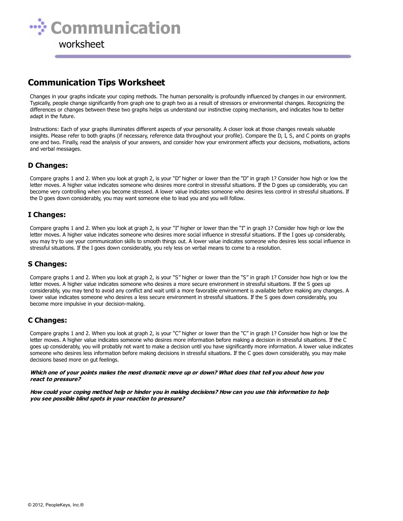

## **Communication Tips Worksheet**

Changes in your graphs indicate your coping methods. The human personality is profoundly influenced by changes in our environment. Typically, people change significantly from graph one to graph two as a result of stressors or environmental changes. Recognizing the differences or changes between these two graphs helps us understand our instinctive coping mechanism, and indicates how to better adapt in the future.

Instructions: Each of your graphs illuminates different aspects of your personality. A closer look at those changes reveals valuable insights. Please refer to both graphs (if necessary, reference data throughout your profile). Compare the D, I, S, and C points on graphs one and two. Finally, read the analysis of your answers, and consider how your environment affects your decisions, motivations, actions and verbal messages.

#### **D Changes:**

Compare graphs 1 and 2. When you look at graph 2, is your "D" higher or lower than the "D" in graph 1? Consider how high or low the letter moves. A higher value indicates someone who desires more control in stressful situations. If the D goes up considerably, you can become very controlling when you become stressed. A lower value indicates someone who desires less control in stressful situations. If the D goes down considerably, you may want someone else to lead you and you will follow.

#### **I Changes:**

Compare graphs 1 and 2. When you look at graph 2, is your "I" higher or lower than the "I" in graph 1? Consider how high or low the letter moves. A higher value indicates someone who desires more social influence in stressful situations. If the I goes up considerably, you may try to use your communication skills to smooth things out. A lower value indicates someone who desires less social influence in stressful situations. If the I goes down considerably, you rely less on verbal means to come to a resolution.

### **S Changes:**

Compare graphs 1 and 2. When you look at graph 2, is your "S" higher or lower than the "S" in graph 1? Consider how high or low the letter moves. A higher value indicates someone who desires a more secure environment in stressful situations. If the S goes up considerably, you may tend to avoid any conflict and wait until a more favorable environment is available before making any changes. A lower value indicates someone who desires a less secure environment in stressful situations. If the S goes down considerably, you become more impulsive in your decision-making.

## **C Changes:**

Compare graphs 1 and 2. When you look at graph 2, is your "C" higher or lower than the "C" in graph 1? Consider how high or low the letter moves. A higher value indicates someone who desires more information before making a decision in stressful situations. If the C goes up considerably, you will probably not want to make a decision until you have significantly more information. A lower value indicates someone who desires less information before making decisions in stressful situations. If the C goes down considerably, you may make decisions based more on gut feelings.

#### **Which one of your points makes the most dramatic move up or down? What does that tell you about how you react to pressure?**

**How could your coping method help or hinder you in making decisions? How can you use this information to help you see possible blind spots in your reaction to pressure?**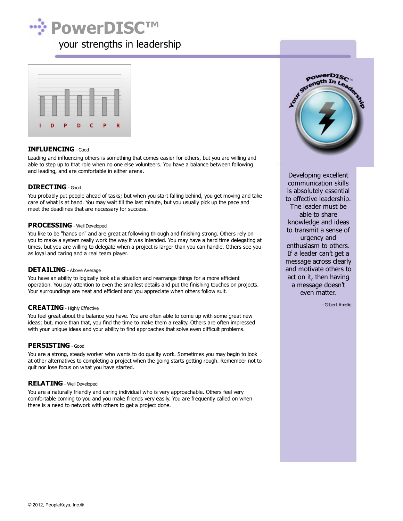



#### **INFLUENCING** - Good

Leading and influencing others is something that comes easier for others, but you are willing and able to step up to that role when no one else volunteers. You have a balance between following and leading, and are comfortable in either arena.

#### **DIRECTING** - Good

You probably put people ahead of tasks; but when you start falling behind, you get moving and take care of what is at hand. You may wait till the last minute, but you usually pick up the pace and meet the deadlines that are necessary for success.

#### **PROCESSING** - Well Developed

You like to be "hands on" and are great at following through and finishing strong. Others rely on you to make a system really work the way it was intended. You may have a hard time delegating at times, but you are willing to delegate when a project is larger than you can handle. Others see you as loyal and caring and a real team player.

#### **DETAILING** - Above Average

You have an ability to logically look at a situation and rearrange things for a more efficient operation. You pay attention to even the smallest details and put the finishing touches on projects. Your surroundings are neat and efficient and you appreciate when others follow suit.

#### **CREATING** - Highly Effective

You feel great about the balance you have. You are often able to come up with some great new ideas; but, more than that, you find the time to make them a reality. Others are often impressed with your unique ideas and your ability to find approaches that solve even difficult problems.

#### **PERSISTING** - Good

You are a strong, steady worker who wants to do quality work. Sometimes you may begin to look at other alternatives to completing a project when the going starts getting rough. Remember not to quit nor lose focus on what you have started.

#### **RELATING** - Well Developed

You are a naturally friendly and caring individual who is very approachable. Others feel very comfortable coming to you and you make friends very easily. You are frequently called on when there is a need to network with others to get a project done.



Developing excellent communication skills is absolutely essential to effective leadership. The leader must be able to share knowledge and ideas to transmit a sense of urgency and enthusiasm to others. If a leader can't get a message across clearly and motivate others to act on it, then having a message doesn't even matter.

- Gilbert Amelio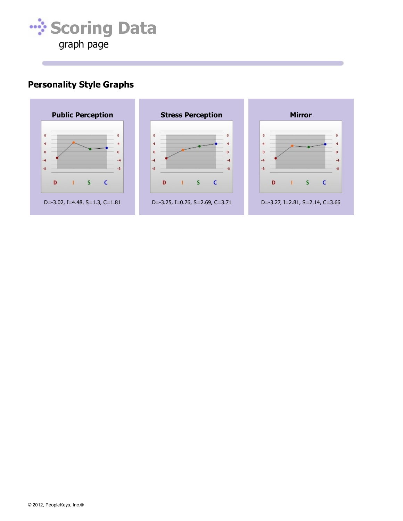

## **Personality Style Graphs**

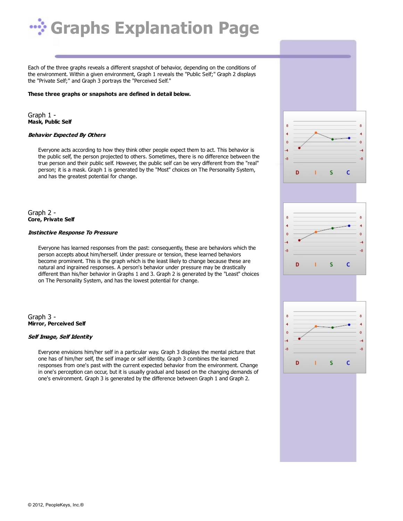

Each of the three graphs reveals a different snapshot of behavior, depending on the conditions of the environment. Within a given environment, Graph 1 reveals the "Public Self;" Graph 2 displays the "Private Self;" and Graph 3 portrays the "Perceived Self."

#### **These three graphs or snapshots are defined in detail below.**

Graph 1 - **Mask, Public Self**

#### **Behavior Expected By Others**

Everyone acts according to how they think other people expect them to act. This behavior is the public self, the person projected to others. Sometimes, there is no difference between the true person and their public self. However, the public self can be very different from the "real" person; it is a mask. Graph 1 is generated by the "Most" choices on The Personality System, and has the greatest potential for change.

Graph 2 - **Core, Private Self**

#### **Instinctive Response To Pressure**

Everyone has learned responses from the past: consequently, these are behaviors which the person accepts about him/herself. Under pressure or tension, these learned behaviors become prominent. This is the graph which is the least likely to change because these are natural and ingrained responses. A person's behavior under pressure may be drastically different than his/her behavior in Graphs 1 and 3. Graph 2 is generated by the "Least" choices on The Personality System, and has the lowest potential for change.

Graph 3 - **Mirror, Perceived Self**

#### **Self Image, Self Identity**

Everyone envisions him/her self in a particular way. Graph 3 displays the mental picture that one has of him/her self, the self image or self identity. Graph 3 combines the learned responses from one's past with the current expected behavior from the environment. Change in one's perception can occur, but it is usually gradual and based on the changing demands of one's environment. Graph 3 is generated by the difference between Graph 1 and Graph 2.

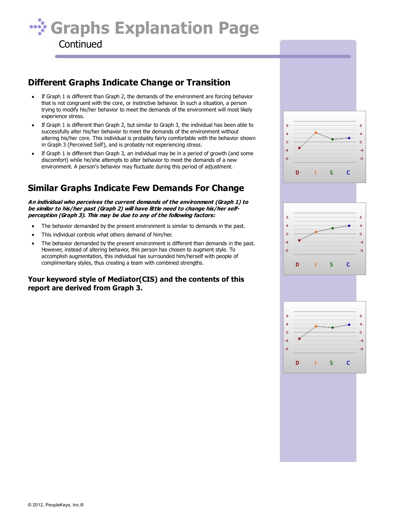

## **Different Graphs Indicate Change or Transition**

- If Graph 1 is different than Graph 2, the demands of the environment are forcing behavior that is not congruent with the core, or instinctive behavior. In such a situation, a person trying to modify his/her behavior to meet the demands of the environment will most likely experience stress.
- If Graph 1 is different than Graph 2, but similar to Graph 3, the individual has been able to successfully alter his/her behavior to meet the demands of the environment without altering his/her core. This individual is probably fairly comfortable with the behavior shown in Graph 3 (Perceived Self), and is probably not experiencing stress.
- If Graph 1 is different than Graph 3, an individual may be in a period of growth (and some discomfort) while he/she attempts to alter behavior to meet the demands of a new environment. A person's behavior may fluctuate during this period of adjustment.

## **Similar Graphs Indicate Few Demands For Change**

**An individual who perceives the current demands of the environment (Graph 1) to be similar to his/her past (Graph 2) will have little need to change his/her selfperception (Graph 3). This may be due to any of the following factors:**

- The behavior demanded by the present environment is similar to demands in the past.  $\bullet$
- This individual controls what others demand of him/her.
- The behavior demanded by the present environment is different than demands in the past. However, instead of altering behavior, this person has chosen to augment style. To accomplish augmentation, this individual has surrounded him/herself with people of complimentary styles, thus creating a team with combined strengths.

## **Your keyword style of Mediator(CIS) and the contents of this report are derived from Graph 3.**





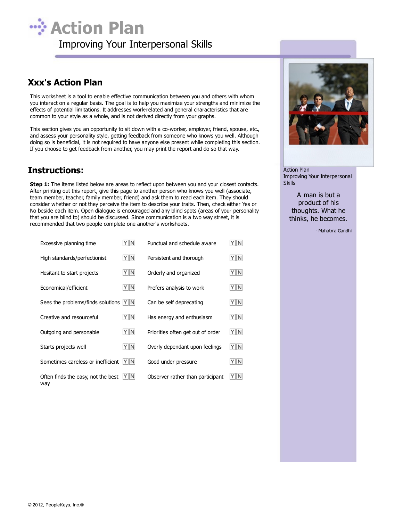

## **Xxx's Action Plan**

This worksheet is a tool to enable effective communication between you and others with whom you interact on a regular basis. The goal is to help you maximize your strengths and minimize the effects of potential limitations. It addresses work-related and general characteristics that are common to your style as a whole, and is not derived directly from your graphs.

This section gives you an opportunity to sit down with a co-worker, employer, friend, spouse, etc., and assess your personality style, getting feedback from someone who knows you well. Although doing so is beneficial, it is not required to have anyone else present while completing this section. If you choose to get feedback from another, you may print the report and do so that way.

## **Instructions:**

**Step 1:** The items listed below are areas to reflect upon between you and your closest contacts. After printing out this report, give this page to another person who knows you well (associate, team member, teacher, family member, friend) and ask them to read each item. They should consider whether or not they perceive the item to describe your traits. Then, check either Yes or No beside each item. Open dialogue is encouraged and any blind spots (areas of your personality that you are blind to) should be discussed. Since communication is a two way street, it is recommended that two people complete one another's worksheets.

| Excessive planning time                   | YIN | Punctual and schedule aware       | Y N |
|-------------------------------------------|-----|-----------------------------------|-----|
| High standards/perfectionist              | Y N | Persistent and thorough           | Y N |
| Hesitant to start projects                | Y N | Orderly and organized             | Y N |
| Economical/efficient                      | Y N | Prefers analysis to work          | Y N |
| Sees the problems/finds solutions         | YIN | Can be self deprecating           | Y N |
| Creative and resourceful                  | Y N | Has energy and enthusiasm         | Y N |
| Outgoing and personable                   | Y N | Priorities often get out of order | Y N |
| Starts projects well                      | Y N | Overly dependant upon feelings    | Y N |
| Sometimes careless or inefficient         | Y N | Good under pressure               | Y N |
| Often finds the easy, not the best<br>way | YIN | Observer rather than participant  | Y N |



Action Plan Improving Your Interpersonal **Skills** 

A man is but a product of his thoughts. What he thinks, he becomes.

- Mahatma Gandhi